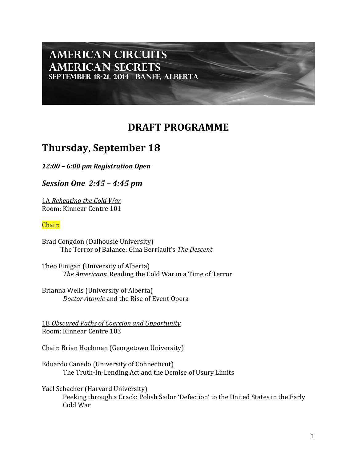## **AMERICAN CIRCUITS AMERICAN SECRETS** SEPTEMBER 18-21, 2014 | BANFF, ALBERTA

## **DRAFT PROGRAMME**

# **Thursday, September 18**

*12:00 – 6:00 pm Registration Open*

*Session One 2:45 – 4:45 pm* 

1A *Reheating the Cold War* Room: Kinnear Centre 101

#### Chair:

Brad Congdon (Dalhousie University) The Terror of Balance: Gina Berriault's The Descent

Theo Finigan (University of Alberta) The Americans: Reading the Cold War in a Time of Terror

Brianna Wells (University of Alberta) *Doctor Atomic* and the Rise of Event Opera

1B Obscured Paths of Coercion and Opportunity Room: Kinnear Centre 103

Chair: Brian Hochman (Georgetown University)

Eduardo Canedo (University of Connecticut) The Truth-In-Lending Act and the Demise of Usury Limits

Yael Schacher (Harvard University) Peeking through a Crack: Polish Sailor 'Defection' to the United States in the Early Cold War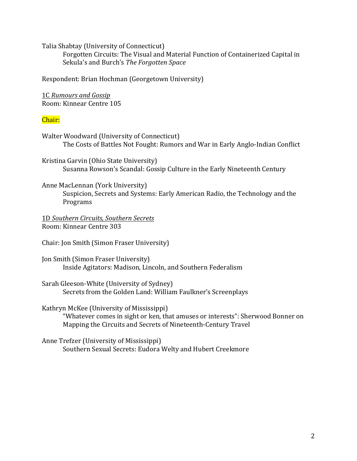Talia Shabtay (University of Connecticut)

Forgotten Circuits: The Visual and Material Function of Containerized Capital in Sekula's and Burch's The Forgotten Space

Respondent: Brian Hochman (Georgetown University)

1C *Rumours and Gossip* Room: Kinnear Centre 105

#### Chair:

Walter Woodward (University of Connecticut) The Costs of Battles Not Fought: Rumors and War in Early Anglo-Indian Conflict

Kristina Garvin (Ohio State University) Susanna Rowson's Scandal: Gossip Culture in the Early Nineteenth Century

Anne MacLennan (York University) Suspicion, Secrets and Systems: Early American Radio, the Technology and the Programs

1D *Southern Circuits, Southern Secrets* Room: Kinnear Centre 303

Chair: Jon Smith (Simon Fraser University)

Jon Smith (Simon Fraser University) Inside Agitators: Madison, Lincoln, and Southern Federalism

Sarah Gleeson-White (University of Sydney) Secrets from the Golden Land: William Faulkner's Screenplays

Kathryn McKee (University of Mississippi)

"Whatever comes in sight or ken, that amuses or interests": Sherwood Bonner on Mapping the Circuits and Secrets of Nineteenth-Century Travel

Anne Trefzer (University of Mississippi) Southern Sexual Secrets: Eudora Welty and Hubert Creekmore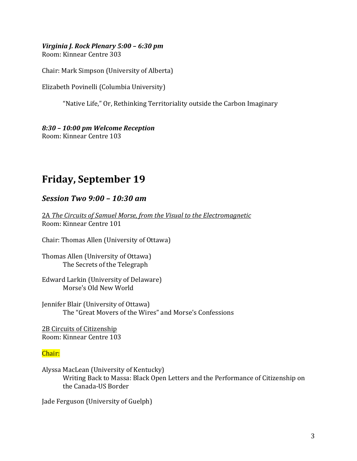#### *Virginia J. Rock Plenary 5:00 - 6:30 pm* Room: Kinnear Centre 303

Chair: Mark Simpson (University of Alberta)

Elizabeth Povinelli (Columbia University)

"Native Life," Or, Rethinking Territoriality outside the Carbon Imaginary

## *8:30 – 10:00 pm Welcome Reception*

Room: Kinnear Centre 103

# **Friday, September 19**

## *Session Two 9:00 – 10:30 am*

2A The Circuits of Samuel Morse, from the Visual to the Electromagnetic Room: Kinnear Centre 101

Chair: Thomas Allen (University of Ottawa)

Thomas Allen (University of Ottawa) The Secrets of the Telegraph

Edward Larkin (University of Delaware) Morse's Old New World

Jennifer Blair (University of Ottawa) The "Great Movers of the Wires" and Morse's Confessions

2B Circuits of Citizenship Room: Kinnear Centre 103

## Chair:

Alyssa MacLean (University of Kentucky) Writing Back to Massa: Black Open Letters and the Performance of Citizenship on the Canada-US Border

Jade Ferguson (University of Guelph)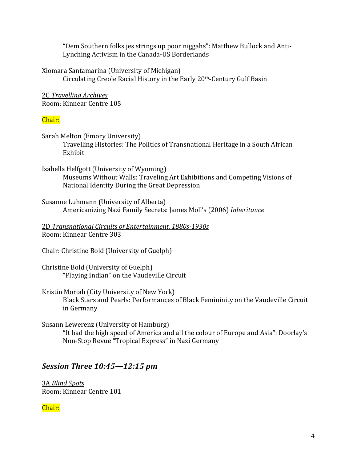"Dem Southern folks jes strings up poor niggahs": Matthew Bullock and Anti-Lynching Activism in the Canada-US Borderlands

Xiomara Santamarina (University of Michigan) Circulating Creole Racial History in the Early 20<sup>th</sup>-Century Gulf Basin

2C *Travelling Archives* Room: Kinnear Centre 105

#### Chair:

Sarah Melton (Emory University) Travelling Histories: The Politics of Transnational Heritage in a South African Exhibit

Isabella Helfgott (University of Wyoming) Museums Without Walls: Traveling Art Exhibitions and Competing Visions of National Identity During the Great Depression

Susanne Luhmann (University of Alberta) Americanizing Nazi Family Secrets: James Moll's (2006) *Inheritance*

2D *Transnational Circuits of Entertainment, 1880s-1930s* Room: Kinnear Centre 303

Chair: Christine Bold (University of Guelph)

Christine Bold (University of Guelph) "Playing Indian" on the Vaudeville Circuit

Kristin Moriah (City University of New York) Black Stars and Pearls: Performances of Black Femininity on the Vaudeville Circuit in Germany

Susann Lewerenz (University of Hamburg) "It had the high speed of America and all the colour of Europe and Asia": Doorlay's Non-Stop Revue "Tropical Express" in Nazi Germany

## *Session Three 10:45–12:15 pm*

3A *Blind Spots* Room: Kinnear Centre 101

Chair: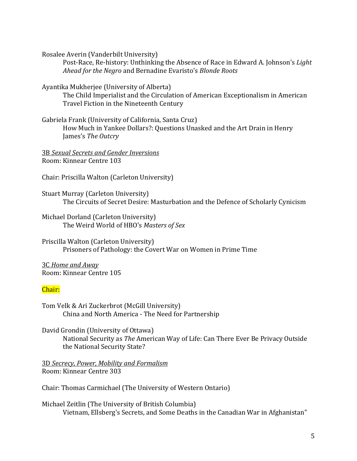Rosalee Averin (Vanderbilt University)

Post-Race, Re-history: Unthinking the Absence of Race in Edward A. Johnson's *Light Ahead for the Negro* and Bernadine Evaristo's *Blonde Roots*

Ayantika Mukherjee (University of Alberta)

The Child Imperialist and the Circulation of American Exceptionalism in American Travel Fiction in the Nineteenth Century

Gabriela Frank (University of California, Santa Cruz)

How Much in Yankee Dollars?: Questions Unasked and the Art Drain in Henry James's *The Outcry*

3B *Sexual Secrets and Gender Inversions* Room: Kinnear Centre 103

Chair: Priscilla Walton (Carleton University)

Stuart Murray (Carleton University) The Circuits of Secret Desire: Masturbation and the Defence of Scholarly Cynicism

Michael Dorland (Carleton University) The Weird World of HBO's Masters of Sex

Priscilla Walton (Carleton University) Prisoners of Pathology: the Covert War on Women in Prime Time

3C *Home and Away* Room: Kinnear Centre 105

#### Chair:

Tom Velk & Ari Zuckerbrot (McGill University) China and North America - The Need for Partnership

David Grondin (University of Ottawa) National Security as *The* American Way of Life: Can There Ever Be Privacy Outside the National Security State?

3D *Secrecy, Power, Mobility and Formalism* Room: Kinnear Centre 303

Chair: Thomas Carmichael (The University of Western Ontario)

Michael Zeitlin (The University of British Columbia) Vietnam, Ellsberg's Secrets, and Some Deaths in the Canadian War in Afghanistan"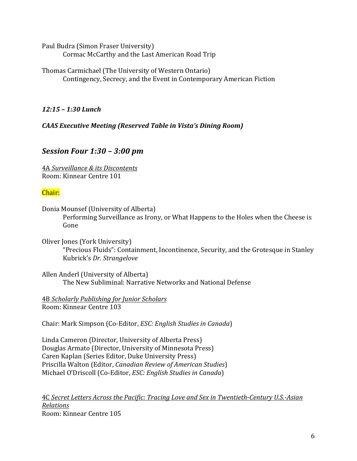Paul Budra (Simon Fraser University) Cormac McCarthy and the Last American Road Trip

Thomas Carmichael (The University of Western Ontario) Contingency, Secrecy, and the Event in Contemporary American Fiction

*12:15 – 1:30 Lunch*

*CAAS Executive Meeting (Reserved Table in Vista's Dining Room)* 

## *Session Four 1:30 – 3:00 pm*

4A *Surveillance & its Discontents* Room: Kinnear Centre 101

#### Chair:

Donia Mounsef (University of Alberta) Performing Surveillance as Irony, or What Happens to the Holes when the Cheese is Gone

Oliver Jones (York University) "Precious Fluids": Containment, Incontinence, Security, and the Grotesque in Stanley Kubrick's *Dr. Strangelove*

Allen Anderl (University of Alberta) The New Subliminal: Narrative Networks and National Defense

4B *Scholarly Publishing for Junior Scholars* Room: Kinnear Centre 103

Chair: Mark Simpson (Co-Editor, *ESC: English Studies in Canada*)

Linda Cameron (Director, University of Alberta Press) Douglas Armato (Director, University of Minnesota Press) Caren Kaplan (Series Editor, Duke University Press) Priscilla Walton (Editor, *Canadian Review of American Studies*) Michael O'Driscoll (Co-Editor, *ESC: English Studies in Canada*)

4C Secret Letters Across the Pacific: Tracing Love and Sex in Twentieth-Century U.S.-Asian *Relations* Room: Kinnear Centre 105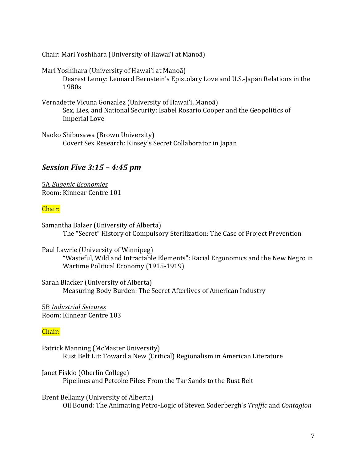Chair: Mari Yoshihara (University of Hawai'i at Manoã)

Mari Yoshihara (University of Hawai'i at Manoã) Dearest Lenny: Leonard Bernstein's Epistolary Love and U.S.-Japan Relations in the 1980s

- Vernadette Vicuna Gonzalez (University of Hawai'i, Manoã) Sex, Lies, and National Security: Isabel Rosario Cooper and the Geopolitics of Imperial Love
- Naoko Shibusawa (Brown University) Covert Sex Research: Kinsey's Secret Collaborator in Iapan

## *Session Five 3:15 – 4:45 pm*

5A *Eugenic Economies* Room: Kinnear Centre 101

#### Chair:

Samantha Balzer (University of Alberta) The "Secret" History of Compulsory Sterilization: The Case of Project Prevention

Paul Lawrie (University of Winnipeg)

"Wasteful, Wild and Intractable Elements": Racial Ergonomics and the New Negro in Wartime Political Economy (1915-1919)

Sarah Blacker (University of Alberta) Measuring Body Burden: The Secret Afterlives of American Industry

5B *Industrial Seizures* Room: Kinnear Centre 103

#### Chair:

Patrick Manning (McMaster University) Rust Belt Lit: Toward a New (Critical) Regionalism in American Literature

Janet Fiskio (Oberlin College) Pipelines and Petcoke Piles: From the Tar Sands to the Rust Belt

Brent Bellamy (University of Alberta) Oil Bound: The Animating Petro-Logic of Steven Soderbergh's *Traffic* and *Contagion*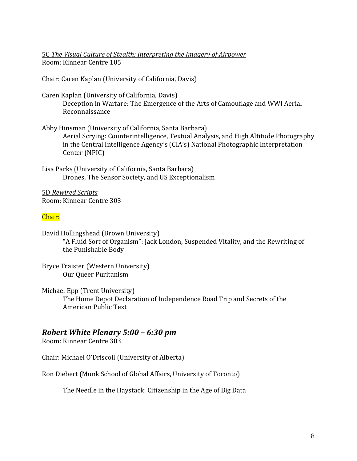5C The Visual Culture of Stealth: Interpreting the Imagery of Airpower Room: Kinnear Centre 105

Chair: Caren Kaplan (University of California, Davis)

- Caren Kaplan (University of California, Davis) Deception in Warfare: The Emergence of the Arts of Camouflage and WWI Aerial Reconnaissance
- Abby Hinsman (University of California, Santa Barbara) Aerial Scrying: Counterintelligence, Textual Analysis, and High Altitude Photography in the Central Intelligence Agency's (CIA's) National Photographic Interpretation Center (NPIC)

Lisa Parks (University of California, Santa Barbara) Drones, The Sensor Society, and US Exceptionalism

5D *Rewired Scripts* Room: Kinnear Centre 303

#### Chair:

David Hollingshead (Brown University) "A Fluid Sort of Organism": Jack London, Suspended Vitality, and the Rewriting of the Punishable Body

Bryce Traister (Western University) Our Queer Puritanism

Michael Epp (Trent University) The Home Depot Declaration of Independence Road Trip and Secrets of the American Public Text

## *Robert White Plenary 5:00 – 6:30 pm*

Room: Kinnear Centre 303

Chair: Michael O'Driscoll (University of Alberta)

Ron Diebert (Munk School of Global Affairs, University of Toronto)

The Needle in the Haystack: Citizenship in the Age of Big Data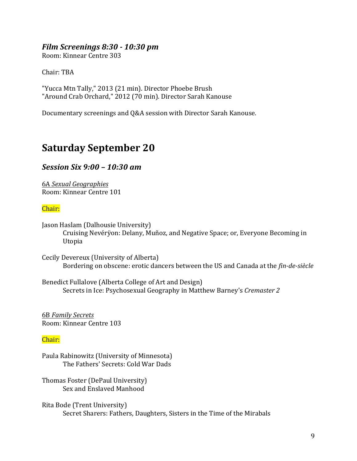#### *Film Screenings 8:30 - 10:30 pm*

Room: Kinnear Centre 303

Chair: TBA

"Yucca Mtn Tally," 2013 (21 min). Director Phoebe Brush "Around Crab Orchard," 2012 (70 min). Director Sarah Kanouse

Documentary screenings and O&A session with Director Sarah Kanouse.

## **Saturday September 20**

### *Session Six 9:00 – 10:30 am*

6A *Sexual Geographies* Room: Kinnear Centre 101

#### Chair:

Jason Haslam (Dalhousie University) Cruising Nevérÿon: Delany, Muñoz, and Negative Space; or, Everyone Becoming in Utopia

Cecily Devereux (University of Alberta) Bordering on obscene: erotic dancers between the US and Canada at the *fin-de-siècle* 

Benedict Fullalove (Alberta College of Art and Design) Secrets in Ice: Psychosexual Geography in Matthew Barney's Cremaster 2

6B *Family Secrets* Room: Kinnear Centre 103

#### Chair:

Paula Rabinowitz (University of Minnesota) The Fathers' Secrets: Cold War Dads

Thomas Foster (DePaul University) Sex and Enslaved Manhood

Rita Bode (Trent University) Secret Sharers: Fathers, Daughters, Sisters in the Time of the Mirabals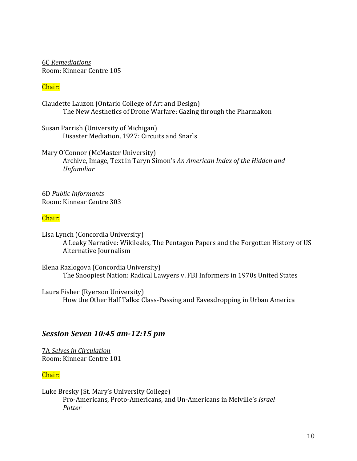6C *Remediations* Room: Kinnear Centre 105

#### Chair:

Claudette Lauzon (Ontario College of Art and Design) The New Aesthetics of Drone Warfare: Gazing through the Pharmakon

Susan Parrish (University of Michigan) Disaster Mediation, 1927: Circuits and Snarls

Mary O'Connor (McMaster University) Archive, Image, Text in Taryn Simon's An American Index of the Hidden and *Unfamiliar*

6D *Public Informants* Room: Kinnear Centre 303

#### Chair:

Lisa Lynch (Concordia University) A Leaky Narrative: Wikileaks, The Pentagon Papers and the Forgotten History of US Alternative Journalism

Elena Razlogova (Concordia University) The Snoopiest Nation: Radical Lawyers v. FBI Informers in 1970s United States

Laura Fisher (Ryerson University) How the Other Half Talks: Class-Passing and Eavesdropping in Urban America

## *Session Seven 10:45 am-12:15 pm*

7A *Selves in Circulation* Room: Kinnear Centre 101

#### Chair:

Luke Bresky (St. Mary's University College) Pro-Americans, Proto-Americans, and Un-Americans in Melville's *Israel Potter*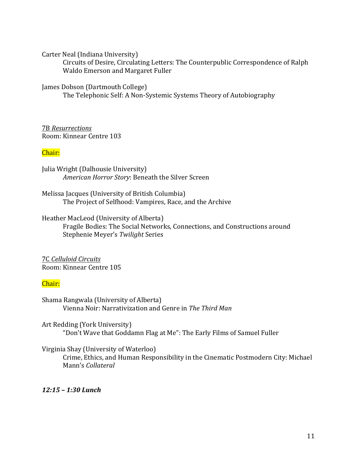Carter Neal (Indiana University)

Circuits of Desire, Circulating Letters: The Counterpublic Correspondence of Ralph Waldo Emerson and Margaret Fuller

James Dobson (Dartmouth College)

The Telephonic Self: A Non-Systemic Systems Theory of Autobiography

7B *Resurrections* Room: Kinnear Centre 103

#### Chair:

Julia Wright (Dalhousie University) American Horror Story: Beneath the Silver Screen

Melissa Jacques (University of British Columbia) The Project of Selfhood: Vampires, Race, and the Archive

Heather MacLeod (University of Alberta) Fragile Bodies: The Social Networks, Connections, and Constructions around Stephenie Meyer's *Twilight* Series

7C *Celluloid Circuits* Room: Kinnear Centre 105

#### Chair:

Shama Rangwala (University of Alberta) Vienna Noir: Narrativization and Genre in *The Third Man*

Art Redding (York University) "Don't Wave that Goddamn Flag at Me": The Early Films of Samuel Fuller

Virginia Shay (University of Waterloo)

Crime, Ethics, and Human Responsibility in the Cinematic Postmodern City: Michael Mann's *Collateral*

*12:15 – 1:30 Lunch*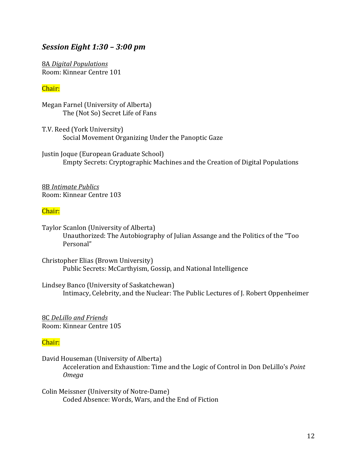### *Session Eight 1:30 – 3:00 pm*

8A *Digital Populations* Room: Kinnear Centre 101

#### Chair:

Megan Farnel (University of Alberta) The (Not So) Secret Life of Fans

T.V. Reed (York University) Social Movement Organizing Under the Panoptic Gaze

Justin Joque (European Graduate School) Empty Secrets: Cryptographic Machines and the Creation of Digital Populations

8B *Intimate Publics* Room: Kinnear Centre 103

#### Chair:

Taylor Scanlon (University of Alberta) Unauthorized: The Autobiography of Julian Assange and the Politics of the "Too Personal"

Christopher Elias (Brown University) Public Secrets: McCarthyism, Gossip, and National Intelligence

Lindsey Banco (University of Saskatchewan) Intimacy, Celebrity, and the Nuclear: The Public Lectures of J. Robert Oppenheimer

8C *DeLillo and Friends* Room: Kinnear Centre 105

#### Chair:

David Houseman (University of Alberta) Acceleration and Exhaustion: Time and the Logic of Control in Don DeLillo's *Point Omega*

Colin Meissner (University of Notre-Dame) Coded Absence: Words, Wars, and the End of Fiction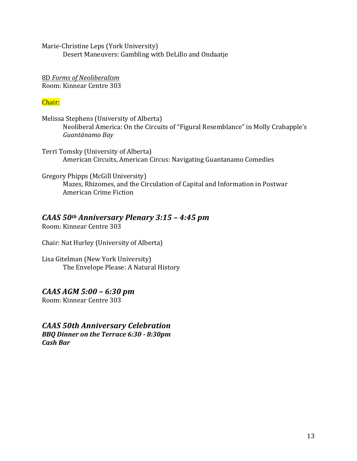Marie-Christine Leps (York University) Desert Maneuvers: Gambling with DeLillo and Ondaatje

8D *Forms of Neoliberalism* Room: Kinnear Centre 303

## Chair:

Melissa Stephens (University of Alberta) Neoliberal America: On the Circuits of "Figural Resemblance" in Molly Crabapple's *Guantánamo Bay*

Terri Tomsky (University of Alberta) American Circuits, American Circus: Navigating Guantanamo Comedies

Gregory Phipps (McGill University) Mazes, Rhizomes, and the Circulation of Capital and Information in Postwar American Crime Fiction

## *CAAS*  $50$ <sup>th</sup> *Anniversary Plenary* 3:15 - 4:45 pm

Room: Kinnear Centre 303

Chair: Nat Hurley (University of Alberta)

Lisa Gitelman (New York University) The Envelope Please: A Natural History

## *CAAS AGM 5:00 – 6:30 pm*

Room: Kinnear Centre 303

## *CAAS 50th Anniversary Celebration*

*BBQ Dinner on the Terrace 6:30 - 8:30pm Cash Bar*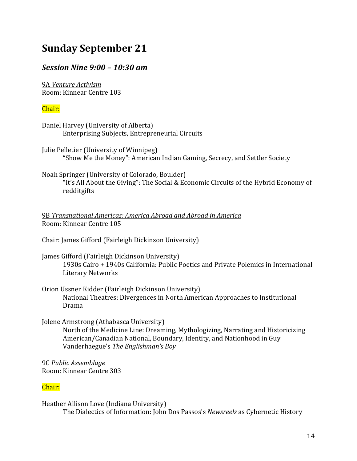# **Sunday September 21**

## *Session Nine 9:00 – 10:30 am*

9A *Venture Activism* Room: Kinnear Centre 103

#### Chair:

Daniel Harvey (University of Alberta) Enterprising Subjects, Entrepreneurial Circuits

Julie Pelletier (University of Winnipeg) "Show Me the Money": American Indian Gaming, Secrecy, and Settler Society

Noah Springer (University of Colorado, Boulder)

"It's All About the Giving": The Social & Economic Circuits of the Hybrid Economy of redditgifts

9B Transnational Americas: America Abroad and Abroad in America Room: Kinnear Centre 105

Chair: James Gifford (Fairleigh Dickinson University)

- James Gifford (Fairleigh Dickinson University) 1930s Cairo + 1940s California: Public Poetics and Private Polemics in International Literary Networks
- Orion Ussner Kidder (Fairleigh Dickinson University) National Theatres: Divergences in North American Approaches to Institutional Drama
- Jolene Armstrong (Athabasca University) North of the Medicine Line: Dreaming, Mythologizing, Narrating and Historicizing American/Canadian National, Boundary, Identity, and Nationhood in Guy Vanderhaegue's The Englishman's Boy

9C *Public Assemblage* Room: Kinnear Centre 303

#### Chair:

Heather Allison Love (Indiana University) The Dialectics of Information: John Dos Passos's *Newsreels* as Cybernetic History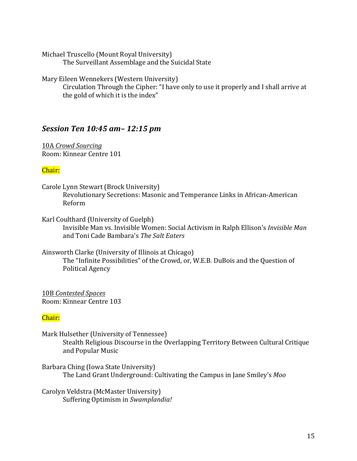Michael Truscello (Mount Royal University) The Surveillant Assemblage and the Suicidal State

Mary Eileen Wennekers (Western University)

Circulation Through the Cipher: "I have only to use it properly and I shall arrive at the gold of which it is the index"

## *Session Ten 10:45 am– 12:15 pm*

10A *Crowd Sourcing* Room: Kinnear Centre 101

### Chair:

- Carole Lynn Stewart (Brock University) Revolutionary Secretions: Masonic and Temperance Links in African-American Reform
- Karl Coulthard (University of Guelph) Invisible Man vs. Invisible Women: Social Activism in Ralph Ellison's *Invisible Man* and Toni Cade Bambara's *The Salt Eaters*
- Ainsworth Clarke (University of Illinois at Chicago) The "Infinite Possibilities" of the Crowd, or, W.E.B. DuBois and the Question of Political Agency

10B *Contested Spaces* Room: Kinnear Centre 103

## Chair:

- Mark Hulsether (University of Tennessee) Stealth Religious Discourse in the Overlapping Territory Between Cultural Critique and Popular Music
- Barbara Ching (Iowa State University) The Land Grant Underground: Cultivating the Campus in Jane Smiley's *Moo*

Carolyn Veldstra (McMaster University) Suffering Optimism in Swamplandia!